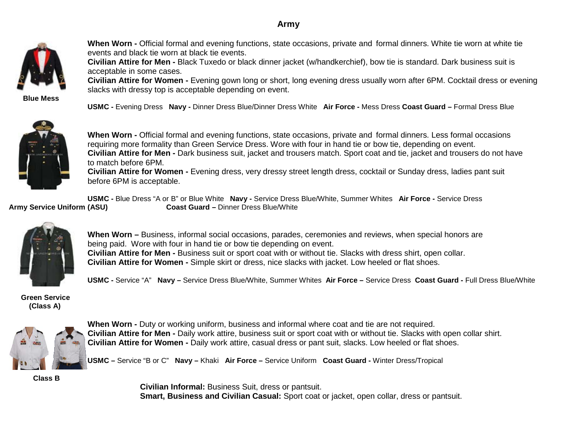# **Army**



**When Worn -** Official formal and evening functions, state occasions, private and formal dinners. White tie worn at white tie events and black tie worn at black tie events.

**Civilian Attire for Men -** Black Tuxedo or black dinner jacket (w/handkerchief), bow tie is standard. Dark business suit is acceptable in some cases.

**Civilian Attire for Women -** Evening gown long or short, long evening dress usually worn after 6PM. Cocktail dress or evening slacks with dressy top is acceptable depending on event.

 **Blue Mess**

**USMC -** Evening Dress **Navy -** Dinner Dress Blue/Dinner Dress White **Air Force -** Mess Dress **Coast Guard –** Formal Dress Blue



**When Worn -** Official formal and evening functions, state occasions, private and formal dinners. Less formal occasions requiring more formality than Green Service Dress. Wore with four in hand tie or bow tie, depending on event. **Civilian Attire for Men -** Dark business suit, jacket and trousers match. Sport coat and tie, jacket and trousers do not have to match before 6PM.

**Civilian Attire for Women -** Evening dress, very dressy street length dress, cocktail or Sunday dress, ladies pant suit before 6PM is acceptable.

**USMC -** Blue Dress "A or B" or Blue White **Navy -** Service Dress Blue/White, Summer Whites **Air Force -** Service Dress **Army Service Uniform (ASU) Coast Guard –** Dinner Dress Blue/White



**When Worn –** Business, informal social occasions, parades, ceremonies and reviews, when special honors are being paid. Wore with four in hand tie or bow tie depending on event. **Civilian Attire for Men -** Business suit or sport coat with or without tie. Slacks with dress shirt, open collar. **Civilian Attire for Women -** Simple skirt or dress, nice slacks with jacket. Low heeled or flat shoes.

**USMC -** Service "A" **Navy –** Service Dress Blue/White, Summer Whites **Air Force –** Service Dress **Coast Guard -** Full Dress Blue/White

 **Green Service (Class A)**



**When Worn -** Duty or working uniform, business and informal where coat and tie are not required. **Civilian Attire for Men -** Daily work attire, business suit or sport coat with or without tie. Slacks with open collar shirt. **Civilian Attire for Women -** Daily work attire, casual dress or pant suit, slacks. Low heeled or flat shoes.

**USMC –** Service "B or C" **Navy –** Khaki **Air Force –** Service Uniform **Coast Guard -** Winter Dress/Tropical

 **Class B**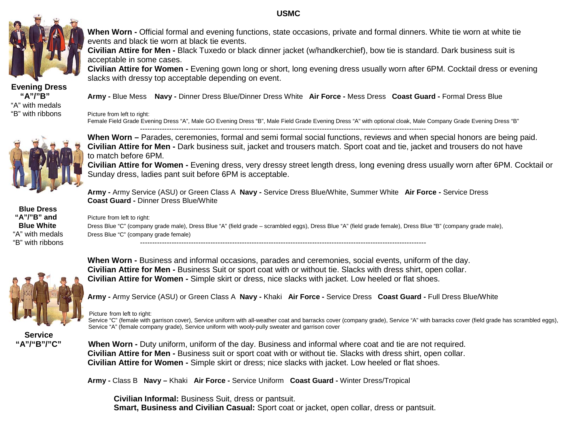### **USMC**



Evening Dress<br>"A"/"B" "A" with medals<br>"B" with ribbons

**When Worn -** Official formal and evening functions, state occasions, private and formal dinners. White tie worn at white tie events and black tie worn at black tie events.

**Civilian Attire for Men -** Black Tuxedo or black dinner jacket (w/handkerchief), bow tie is standard. Dark business suit is acceptable in some cases.

**Civilian Attire for Women -** Evening gown long or short, long evening dress usually worn after 6PM. Cocktail dress or evening slacks with dressy top acceptable depending on event.

 **"A"/"B" Army -** Blue Mess **Navy -** Dinner Dress Blue/Dinner Dress White **Air Force -** Mess Dress **Coast Guard -** Formal Dress Blue

Picture from left to right:

Female Field Grade Evening Dress "A", Male GO Evening Dress "B", Male Field Grade Evening Dress "A" with optional cloak, Male Company Grade Evening Dress "B" ----------------------------------------------------------------------------------------------------------------------



**Blue Dress**<br>"A"/"B" and

**When Worn –** Parades, ceremonies, formal and semi formal social functions, reviews and when special honors are being paid. **Civilian Attire for Men -** Dark business suit, jacket and trousers match. Sport coat and tie, jacket and trousers do not have to match before 6PM.

**Civilian Attire for Women -** Evening dress, very dressy street length dress, long evening dress usually worn after 6PM. Cocktail or Sunday dress, ladies pant suit before 6PM is acceptable.

**Army -** Army Service (ASU) or Green Class A **Navy -** Service Dress Blue/White, Summer White **Air Force -** Service Dress **Coast Guard -** Dinner Dress Blue/White

**'A"/"B" and** Picture from left to right:<br>**Blue White** Dress Blue "C" (company

**Blue White** Dress Blue "C" (company grade male), Dress Blue "A" (field grade – scrambled eggs), Dress Blue "A" (field grade female), Dress Blue "B" (company grade male),<br>"A" with medals Dress Blue "C" (company grade femal Dress Blue "C" (company grade female)





**When Worn -** Business and informal occasions, parades and ceremonies, social events, uniform of the day. **Civilian Attire for Men -** Business Suit or sport coat with or without tie. Slacks with dress shirt, open collar. **Civilian Attire for Women -** Simple skirt or dress, nice slacks with jacket. Low heeled or flat shoes.

**Army -** Army Service (ASU) or Green Class A **Navy -** Khaki **Air Force -** Service Dress **Coast Guard -** Full Dress Blue/White

### Picture from left to right:

Service "C" (female with garrison cover), Service uniform with all-weather coat and barracks cover (company grade), Service "A" with barracks cover (field grade has scrambled eggs), Service "A" (female company grade), Service uniform with wooly-pully sweater and garrison cover

Service<br>"A"/"B"/"C"

**When Worn -** Duty uniform, uniform of the day. Business and informal where coat and tie are not required.  **Civilian Attire for Men -** Business suit or sport coat with or without tie. Slacks with dress shirt, open collar.  **Civilian Attire for Women -** Simple skirt or dress; nice slacks with jacket. Low heeled or flat shoes.

**Army -** Class B **Navy –** Khaki **Air Force -** Service Uniform **Coast Guard -** Winter Dress/Tropical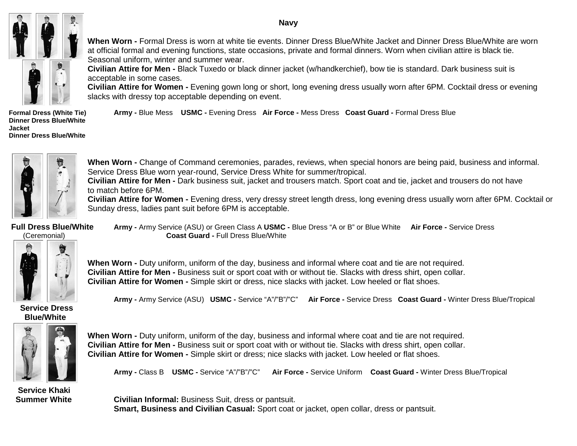#### **Navy**



**When Worn -** Formal Dress is worn at white tie events. Dinner Dress Blue/White Jacket and Dinner Dress Blue/White are worn at official formal and evening functions, state occasions, private and formal dinners. Worn when civilian attire is black tie. Seasonal uniform, winter and summer wear.

**Civilian Attire for Men -** Black Tuxedo or black dinner jacket (w/handkerchief), bow tie is standard. Dark business suit is acceptable in some cases.

**Civilian Attire for Women -** Evening gown long or short, long evening dress usually worn after 6PM. Cocktail dress or evening slacks with dressy top acceptable depending on event.

**Dinner Dress Blue/White Jacket Dinner Dress Blue/White**

**Formal Dress (White Tie) Army -** Blue Mess **USMC -** Evening Dress **Air Force -** Mess Dress **Coast Guard -** Formal Dress Blue



**When Worn -** Change of Command ceremonies, parades, reviews, when special honors are being paid, business and informal. Service Dress Blue worn year-round, Service Dress White for summer/tropical.

**Civilian Attire for Men -** Dark business suit, jacket and trousers match. Sport coat and tie, jacket and trousers do not have to match before 6PM.

**Civilian Attire for Women -** Evening dress, very dressy street length dress, long evening dress usually worn after 6PM. Cocktail or Sunday dress, ladies pant suit before 6PM is acceptable.

**Army -** Army Service (ASU) **USMC -** Service "A"/"B"/"C" **Air Force -** Service Dress **Coast Guard -** Winter Dress Blue/Tropical

**Full Dress Blue/White Army -** Army Service (ASU) or Green Class A **USMC -** Blue Dress "A or B" or Blue White **Air Force -** Service Dress (Ceremonial) **Coast Guard -** Full Dress Blue/White



**When Worn -** Duty uniform, uniform of the day, business and informal where coat and tie are not required. **Civilian Attire for Men -** Business suit or sport coat with or without tie. Slacks with dress shirt, open collar. **Civilian Attire for Women -** Simple skirt or dress, nice slacks with jacket. Low heeled or flat shoes.

 **Service Dress Blue/White**



**When Worn -** Duty uniform, uniform of the day, business and informal where coat and tie are not required. **Civilian Attire for Men -** Business suit or sport coat with or without tie. Slacks with dress shirt, open collar. **Civilian Attire for Women -** Simple skirt or dress; nice slacks with jacket. Low heeled or flat shoes.

**Army -** Class B **USMC -** Service "A"/"B"/"C" **Air Force -** Service Uniform **Coast Guard -** Winter Dress Blue/Tropical

 **Service Khaki**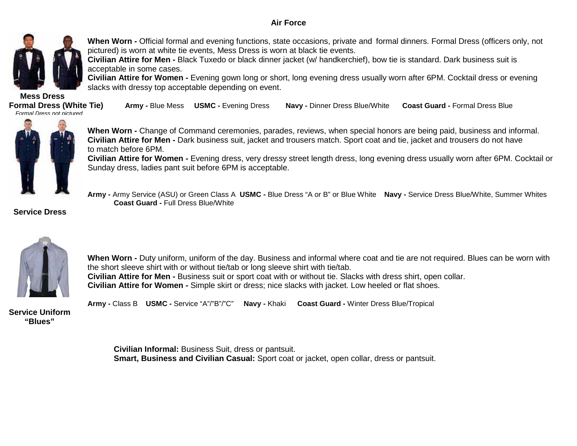### **Air Force**



**When Worn -** Official formal and evening functions, state occasions, private and formal dinners. Formal Dress (officers only, not pictured) is worn at white tie events, Mess Dress is worn at black tie events.

**Civilian Attire for Men -** Black Tuxedo or black dinner jacket (w/ handkerchief), bow tie is standard. Dark business suit is acceptable in some cases.

**Civilian Attire for Women -** Evening gown long or short, long evening dress usually worn after 6PM. Cocktail dress or evening slacks with dressy top acceptable depending on event.

**Mess Dress**<br>**Formal Dress (White Tie)**  *Formal Dress not pictured* 

**Formal Dress (White Tie) Army -** Blue Mess **USMC -** Evening Dress **Navy -** Dinner Dress Blue/White **Coast Guard -** Formal Dress Blue



**When Worn -** Change of Command ceremonies, parades, reviews, when special honors are being paid, business and informal. **Civilian Attire for Men -** Dark business suit, jacket and trousers match. Sport coat and tie, jacket and trousers do not have to match before 6PM.

**Civilian Attire for Women -** Evening dress, very dressy street length dress, long evening dress usually worn after 6PM. Cocktail or Sunday dress, ladies pant suit before 6PM is acceptable.

 **Army -** Army Service (ASU) or Green Class A **USMC -** Blue Dress "A or B" or Blue White **Navy -** Service Dress Blue/White, Summer Whites **Coast Guard -** Full Dress Blue/White

 **Service Dress**



**When Worn -** Duty uniform, uniform of the day. Business and informal where coat and tie are not required. Blues can be worn with the short sleeve shirt with or without tie/tab or long sleeve shirt with tie/tab. **Civilian Attire for Men -** Business suit or sport coat with or without tie. Slacks with dress shirt, open collar. **Civilian Attire for Women -** Simple skirt or dress; nice slacks with jacket. Low heeled or flat shoes.



**Army -** Class B **USMC -** Service "A"/"B"/"C" **Navy -** Khaki **Coast Guard -** Winter Dress Blue/Tropical

**Service Uniform "Blues"**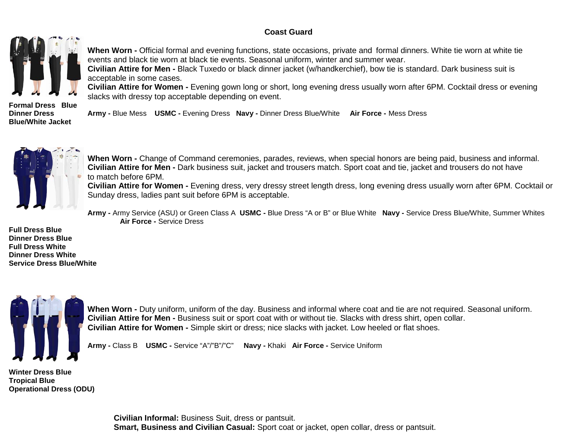## **Coast Guard**



**When Worn -** Official formal and evening functions, state occasions, private and formal dinners. White tie worn at white tie events and black tie worn at black tie events. Seasonal uniform, winter and summer wear.

**Civilian Attire for Men -** Black Tuxedo or black dinner jacket (w/handkerchief), bow tie is standard. Dark business suit is acceptable in some cases.

**Civilian Attire for Women -** Evening gown long or short, long evening dress usually worn after 6PM. Cocktail dress or evening slacks with dressy top acceptable depending on event.

**Formal Dress Blue Blue/White Jacket** 

**Dinner Dress Army -** Blue Mess **USMC -** Evening Dress **Navy -** Dinner Dress Blue/White **Air Force -** Mess Dress



**When Worn -** Change of Command ceremonies, parades, reviews, when special honors are being paid, business and informal. **Civilian Attire for Men -** Dark business suit, jacket and trousers match. Sport coat and tie, jacket and trousers do not have to match before 6PM.

**Civilian Attire for Women -** Evening dress, very dressy street length dress, long evening dress usually worn after 6PM. Cocktail or Sunday dress, ladies pant suit before 6PM is acceptable.

 **Army -** Army Service (ASU) or Green Class A **USMC -** Blue Dress "A or B" or Blue White **Navy -** Service Dress Blue/White, Summer Whites **Air Force -** Service Dress

**Full Dress Blue Dinner Dress Blue Full Dress White Dinner Dress White Service Dress Blue/White**



**When Worn -** Duty uniform, uniform of the day. Business and informal where coat and tie are not required. Seasonal uniform. **Civilian Attire for Men -** Business suit or sport coat with or without tie. Slacks with dress shirt, open collar. **Civilian Attire for Women -** Simple skirt or dress; nice slacks with jacket. Low heeled or flat shoes.

**Army -** Class B **USMC -** Service "A"/"B"/"C" **Navy -** Khaki **Air Force -** Service Uniform

**Winter Dress Blue Tropical Blue Operational Dress (ODU)**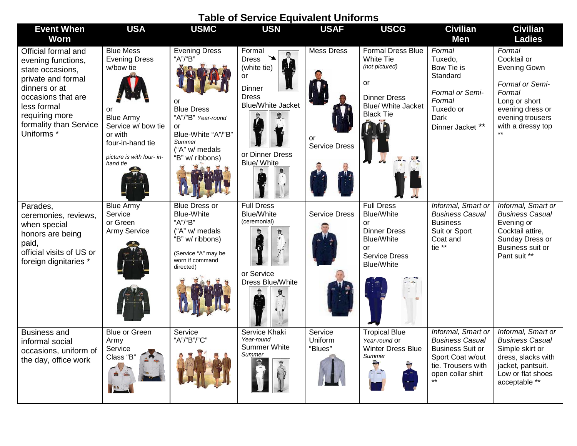| <b>Table of Service Equivalent Uniforms</b>                                                                                                                                                                    |                                                                                                                                                                               |                                                                                                                                                             |                                                                                                                                            |                                                 |                                                                                                                                                                      |                                                                                                                                                 |                                                                                                                                                         |  |  |  |  |
|----------------------------------------------------------------------------------------------------------------------------------------------------------------------------------------------------------------|-------------------------------------------------------------------------------------------------------------------------------------------------------------------------------|-------------------------------------------------------------------------------------------------------------------------------------------------------------|--------------------------------------------------------------------------------------------------------------------------------------------|-------------------------------------------------|----------------------------------------------------------------------------------------------------------------------------------------------------------------------|-------------------------------------------------------------------------------------------------------------------------------------------------|---------------------------------------------------------------------------------------------------------------------------------------------------------|--|--|--|--|
| <b>Event When</b><br><b>Worn</b>                                                                                                                                                                               | <b>USA</b>                                                                                                                                                                    | <b>USMC</b>                                                                                                                                                 | <b>USN</b>                                                                                                                                 | <b>USAF</b>                                     | <b>USCG</b>                                                                                                                                                          | <b>Civilian</b><br>Men                                                                                                                          | <b>Civilian</b><br><b>Ladies</b>                                                                                                                        |  |  |  |  |
| Official formal and<br>evening functions,<br>state occasions,<br>private and formal<br>dinners or at<br>occasions that are<br>less formal<br>requiring more<br>formality than Service<br>Uniforms <sup>*</sup> | <b>Blue Mess</b><br><b>Evening Dress</b><br>w/bow tie<br>or<br><b>Blue Army</b><br>Service w/ bow tie<br>or with<br>four-in-hand tie<br>picture is with four- in-<br>hand tie | <b>Evening Dress</b><br>"A"/"B"<br>or<br><b>Blue Dress</b><br>"A"/"B" Year-round<br>or<br>Blue-White "A"/"B"<br>Summer<br>("A" w/ medals<br>"B" w/ ribbons) | Formal<br><b>Dress</b><br>(white tie)<br>or<br><b>Dinner</b><br><b>Dress</b><br><b>Blue/White Jacket</b><br>or Dinner Dress<br>Blue/ White | <b>Mess Dress</b><br>or<br><b>Service Dress</b> | <b>Formal Dress Blue</b><br><b>White Tie</b><br>(not pictured)<br>or<br><b>Dinner Dress</b><br>Blue/ White Jacket<br><b>Black Tie</b>                                | Formal<br>Tuxedo,<br>Bow Tie is<br>Standard<br>Formal or Semi-<br>Formal<br>Tuxedo or<br>Dark<br>Dinner Jacket **                               | Formal<br>Cocktail or<br><b>Evening Gown</b><br>Formal or Semi-<br>Formal<br>Long or short<br>evening dress or<br>evening trousers<br>with a dressy top |  |  |  |  |
| Parades,<br>ceremonies, reviews,<br>when special<br>honors are being<br>paid,<br>official visits of US or<br>foreign dignitaries *                                                                             | <b>Blue Army</b><br>Service<br>or Green<br><b>Army Service</b>                                                                                                                | <b>Blue Dress or</b><br><b>Blue-White</b><br>"A"/"B"<br>("A" w/ medals<br>"B" w/ ribbons)<br>(Service "A" may be<br>worn if command<br>directed)            | <b>Full Dress</b><br><b>Blue/White</b><br>(ceremonial)<br>or Service<br>Dress Blue/White                                                   | <b>Service Dress</b>                            | <b>Full Dress</b><br><b>Blue/White</b><br>or<br><b>Dinner Dress</b><br><b>Blue/White</b><br><b>or</b><br><b>Service Dress</b><br><b>Blue/White</b><br>$\ddot{\cdot}$ | Informal, Smart or<br><b>Business Casual</b><br><b>Business</b><br>Suit or Sport<br>Coat and<br>tie **                                          | Informal, Smart or<br><b>Business Casual</b><br>Evening or<br>Cocktail attire,<br>Sunday Dress or<br>Business suit or<br>Pant suit **                   |  |  |  |  |
| <b>Business and</b><br>informal social<br>occasions, uniform of<br>the day, office work                                                                                                                        | <b>Blue or Green</b><br>Army<br>Service<br>Class "B"                                                                                                                          | Service<br>"A"/"B"/"C"                                                                                                                                      | Service Khaki<br>Year-round<br>Summer White<br>Summer                                                                                      | Service<br>Uniform<br>"Blues"                   | <b>Tropical Blue</b><br>Year-round Or<br><b>Winter Dress Blue</b><br>Summer                                                                                          | Informal, Smart or<br><b>Business Casual</b><br><b>Business Suit or</b><br>Sport Coat w/out<br>tie. Trousers with<br>open collar shirt<br>$***$ | Informal, Smart or<br><b>Business Casual</b><br>Simple skirt or<br>dress, slacks with<br>jacket, pantsuit.<br>Low or flat shoes<br>acceptable **        |  |  |  |  |